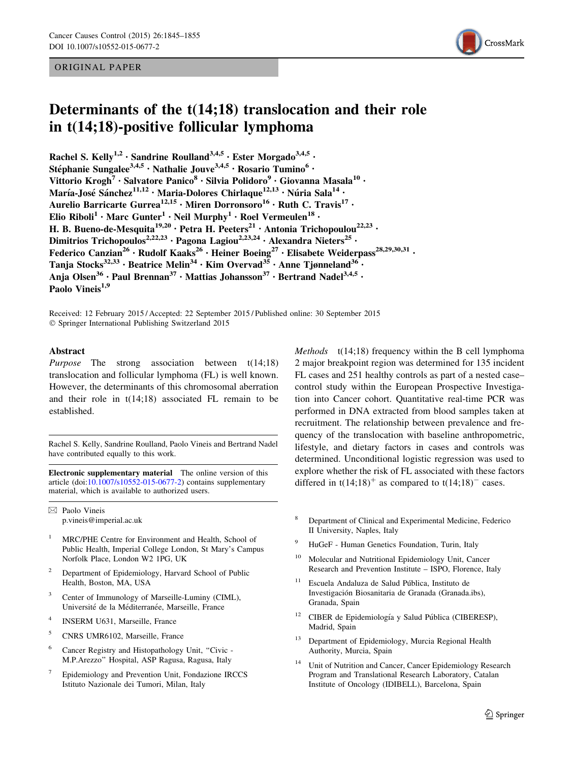## ORIGINAL PAPER



# Determinants of the t(14;18) translocation and their role in t(14;18)-positive follicular lymphoma

Rachel S. Kelly<sup>1,2</sup> · Sandrine Roulland<sup>3,4,5</sup> · Ester Morgado<sup>3,4,5</sup> · Stéphanie Sungalee<sup>3,4,5</sup> · Nathalie Jouve<sup>3,4,5</sup> · Rosario Tumino<sup>6</sup> · Vittorio Krogh<sup>7</sup> · Salvatore Panico<sup>8</sup> · Silvia Polidoro<sup>9</sup> · Giovanna Masala<sup>10</sup> · María-José Sánchez<sup>11,12</sup> • Maria-Dolores Chirlaque<sup>12,13</sup> • Núria Sala<sup>14</sup> • Aurelio Barricarte Gurrea<sup>12,15</sup> · Miren Dorronsoro<sup>16</sup> · Ruth C. Travis<sup>17</sup> · Elio Riboli<sup>1</sup> • Marc Gunter<sup>1</sup> • Neil Murphy<sup>1</sup> • Roel Vermeulen<sup>18</sup> • H. B. Bueno-de-Mesquita<sup>19,20</sup> · Petra H. Peeters<sup>21</sup> · Antonia Trichopoulou<sup>22,23</sup> · Dimitrios Trichopoulos<sup>2,22,23</sup> · Pagona Lagiou<sup>2,23,24</sup> · Alexandra Nieters<sup>25</sup> · Federico Canzian<sup>26</sup> • Rudolf Kaaks<sup>26</sup> • Heiner Boeing<sup>27</sup> • Elisabete Weiderpass<sup>28,29,30,31</sup> • Tanja Stocks<sup>32,33</sup> • Beatrice Melin<sup>34</sup> • Kim Overvad<sup>35</sup> • Anne Tjønneland<sup>36</sup> • Anja Olsen<sup>36</sup> • Paul Brennan<sup>37</sup> • Mattias Johansson<sup>37</sup> • Bertrand Nadel<sup>3,4,5</sup> • Paolo Vineis<sup>1,9</sup>

Received: 12 February 2015 / Accepted: 22 September 2015 / Published online: 30 September 2015 - Springer International Publishing Switzerland 2015

## Abstract

Purpose The strong association between t(14;18) translocation and follicular lymphoma (FL) is well known. However, the determinants of this chromosomal aberration and their role in  $t(14;18)$  associated FL remain to be established.

Rachel S. Kelly, Sandrine Roulland, Paolo Vineis and Bertrand Nadel have contributed equally to this work.

Electronic supplementary material The online version of this article (doi:[10.1007/s10552-015-0677-2](http://dx.doi.org/10.1007/s10552-015-0677-2)) contains supplementary material, which is available to authorized users.

 $\boxtimes$  Paolo Vineis p.vineis@imperial.ac.uk

- MRC/PHE Centre for Environment and Health, School of Public Health, Imperial College London, St Mary's Campus Norfolk Place, London W2 1PG, UK
- <sup>2</sup> Department of Epidemiology, Harvard School of Public Health, Boston, MA, USA
- Center of Immunology of Marseille-Luminy (CIML), Université de la Méditerranée, Marseille, France
- <sup>4</sup> INSERM U631, Marseille, France
- <sup>5</sup> CNRS UMR6102, Marseille, France
- <sup>6</sup> Cancer Registry and Histopathology Unit, ''Civic M.P.Arezzo'' Hospital, ASP Ragusa, Ragusa, Italy
- <sup>7</sup> Epidemiology and Prevention Unit, Fondazione IRCCS Istituto Nazionale dei Tumori, Milan, Italy

Methods  $t(14;18)$  frequency within the B cell lymphoma 2 major breakpoint region was determined for 135 incident FL cases and 251 healthy controls as part of a nested case– control study within the European Prospective Investigation into Cancer cohort. Quantitative real-time PCR was performed in DNA extracted from blood samples taken at recruitment. The relationship between prevalence and frequency of the translocation with baseline anthropometric, lifestyle, and dietary factors in cases and controls was determined. Unconditional logistic regression was used to explore whether the risk of FL associated with these factors differed in  $t(14;18)^+$  as compared to  $t(14;18)^-$  cases.

- <sup>8</sup> Department of Clinical and Experimental Medicine, Federico II University, Naples, Italy
- HuGeF Human Genetics Foundation, Turin, Italy
- <sup>10</sup> Molecular and Nutritional Epidemiology Unit, Cancer Research and Prevention Institute – ISPO, Florence, Italy
- <sup>11</sup> Escuela Andaluza de Salud Pública, Instituto de Investigación Biosanitaria de Granada (Granada.ibs), Granada, Spain
- $12$  CIBER de Epidemiología y Salud Pública (CIBERESP), Madrid, Spain
- <sup>13</sup> Department of Epidemiology, Murcia Regional Health Authority, Murcia, Spain
- Unit of Nutrition and Cancer, Cancer Epidemiology Research Program and Translational Research Laboratory, Catalan Institute of Oncology (IDIBELL), Barcelona, Spain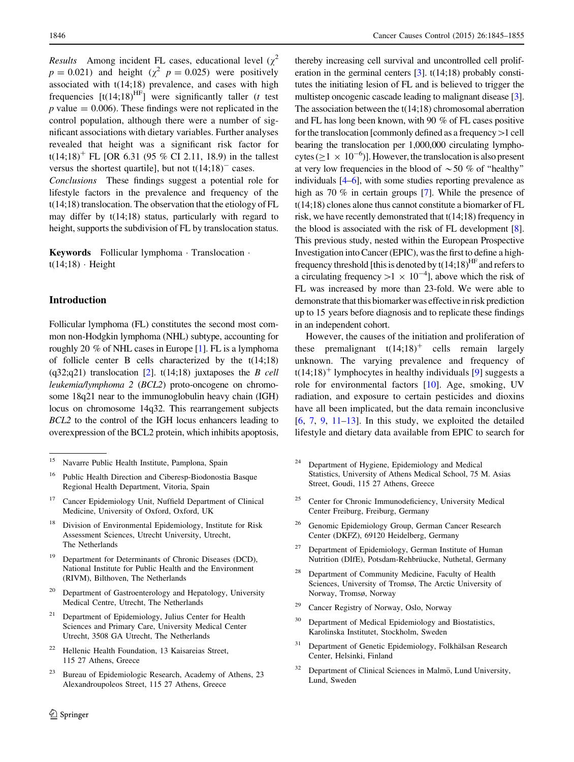*Results* Among incident FL cases, educational level  $(\chi^2)$  $p = 0.021$ ) and height ( $\chi^2$   $p = 0.025$ ) were positively associated with t(14;18) prevalence, and cases with high frequencies  $[t(14;18)$ <sup>HF</sup>] were significantly taller (*t* test  $p$  value  $= 0.006$ ). These findings were not replicated in the control population, although there were a number of significant associations with dietary variables. Further analyses revealed that height was a significant risk factor for t(14;18)<sup>+</sup> FL [OR 6.31 (95 % CI 2.11, 18.9) in the tallest versus the shortest quartile], but not  $t(14;18)^{-}$  cases.

Conclusions These findings suggest a potential role for lifestyle factors in the prevalence and frequency of the t(14;18) translocation. The observation that the etiology of FL may differ by t(14;18) status, particularly with regard to height, supports the subdivision of FL by translocation status.

Keywords Follicular lymphoma · Translocation ·  $t(14;18)$  · Height

# Introduction

Follicular lymphoma (FL) constitutes the second most common non-Hodgkin lymphoma (NHL) subtype, accounting for roughly 20 % of NHL cases in Europe [[1](#page-9-0)]. FL is a lymphoma of follicle center B cells characterized by the t(14;18) (q3[2](#page-9-0);q21) translocation [2]. t(14;18) juxtaposes the B cell leukemia/lymphoma 2 (BCL2) proto-oncogene on chromosome 18q21 near to the immunoglobulin heavy chain (IGH) locus on chromosome 14q32. This rearrangement subjects BCL2 to the control of the IGH locus enhancers leading to overexpression of the BCL2 protein, which inhibits apoptosis,

- Division of Environmental Epidemiology, Institute for Risk Assessment Sciences, Utrecht University, Utrecht, The Netherlands
- <sup>19</sup> Department for Determinants of Chronic Diseases (DCD), National Institute for Public Health and the Environment (RIVM), Bilthoven, The Netherlands
- <sup>20</sup> Department of Gastroenterology and Hepatology, University Medical Centre, Utrecht, The Netherlands
- $21$  Department of Epidemiology, Julius Center for Health Sciences and Primary Care, University Medical Center Utrecht, 3508 GA Utrecht, The Netherlands
- <sup>22</sup> Hellenic Health Foundation, 13 Kaisareias Street, 115 27 Athens, Greece
- <sup>23</sup> Bureau of Epidemiologic Research, Academy of Athens, 23 Alexandroupoleos Street, 115 27 Athens, Greece

thereby increasing cell survival and uncontrolled cell proliferation in the germinal centers  $[3]$  $[3]$ . t(14;18) probably constitutes the initiating lesion of FL and is believed to trigger the multistep oncogenic cascade leading to malignant disease [[3\]](#page-9-0). The association between the t(14;18) chromosomal aberration and FL has long been known, with 90 % of FL cases positive for the translocation [commonly defined as a frequency  $>1$  cell bearing the translocation per 1,000,000 circulating lymphocytes ( $\geq$ 1  $\times$  10<sup>-6</sup>)]. However, the translocation is also present at very low frequencies in the blood of  $\sim$  50 % of "healthy" individuals [\[4](#page-9-0)[–6\]](#page-10-0), with some studies reporting prevalence as high as 70 % in certain groups [\[7\]](#page-10-0). While the presence of t(14;18) clones alone thus cannot constitute a biomarker of FL risk, we have recently demonstrated that t(14;18) frequency in the blood is associated with the risk of FL development [[8\]](#page-10-0). This previous study, nested within the European Prospective Investigation into Cancer (EPIC), was the first to define a highfrequency threshold [this is denoted by  $t(14;18)^{HF}$  and refers to a circulating frequency  $>1 \times 10^{-4}$ ], above which the risk of FL was increased by more than 23-fold. We were able to demonstrate that this biomarker was effective in risk prediction up to 15 years before diagnosis and to replicate these findings in an independent cohort.

However, the causes of the initiation and proliferation of these premalignant  $t(14;18)^+$  cells remain largely unknown. The varying prevalence and frequency of  $t(14;18)^+$  lymphocytes in healthy individuals [[9\]](#page-10-0) suggests a role for environmental factors [[10\]](#page-10-0). Age, smoking, UV radiation, and exposure to certain pesticides and dioxins have all been implicated, but the data remain inconclusive  $[6, 7, 9, 11-13]$  $[6, 7, 9, 11-13]$  $[6, 7, 9, 11-13]$  $[6, 7, 9, 11-13]$  $[6, 7, 9, 11-13]$  $[6, 7, 9, 11-13]$ . In this study, we exploited the detailed lifestyle and dietary data available from EPIC to search for

- <sup>24</sup> Department of Hygiene, Epidemiology and Medical Statistics, University of Athens Medical School, 75 M. Asias Street, Goudi, 115 27 Athens, Greece
- <sup>25</sup> Center for Chronic Immunodeficiency, University Medical Center Freiburg, Freiburg, Germany
- <sup>26</sup> Genomic Epidemiology Group, German Cancer Research Center (DKFZ), 69120 Heidelberg, Germany
- <sup>27</sup> Department of Epidemiology, German Institute of Human Nutrition (DIfE), Potsdam-Rehbrüucke, Nuthetal, Germany
- Department of Community Medicine, Faculty of Health Sciences, University of Tromsø, The Arctic University of Norway, Tromsø, Norway
- <sup>29</sup> Cancer Registry of Norway, Oslo, Norway
- <sup>30</sup> Department of Medical Epidemiology and Biostatistics, Karolinska Institutet, Stockholm, Sweden
- <sup>31</sup> Department of Genetic Epidemiology, Folkhälsan Research Center, Helsinki, Finland
- Department of Clinical Sciences in Malmö, Lund University, Lund, Sweden

<sup>15</sup> Navarre Public Health Institute, Pamplona, Spain

Public Health Direction and Ciberesp-Biodonostia Basque Regional Health Department, Vitoria, Spain

<sup>&</sup>lt;sup>17</sup> Cancer Epidemiology Unit, Nuffield Department of Clinical Medicine, University of Oxford, Oxford, UK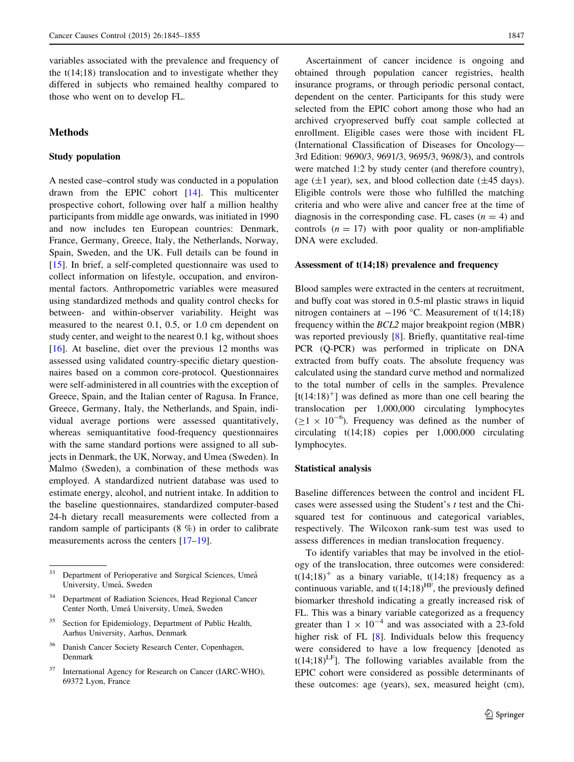variables associated with the prevalence and frequency of the  $t(14;18)$  translocation and to investigate whether they differed in subjects who remained healthy compared to those who went on to develop FL.

# **Methods**

## Study population

A nested case–control study was conducted in a population drawn from the EPIC cohort [\[14](#page-10-0)]. This multicenter prospective cohort, following over half a million healthy participants from middle age onwards, was initiated in 1990 and now includes ten European countries: Denmark, France, Germany, Greece, Italy, the Netherlands, Norway, Spain, Sweden, and the UK. Full details can be found in [\[15](#page-10-0)]. In brief, a self-completed questionnaire was used to collect information on lifestyle, occupation, and environmental factors. Anthropometric variables were measured using standardized methods and quality control checks for between- and within-observer variability. Height was measured to the nearest 0.1, 0.5, or 1.0 cm dependent on study center, and weight to the nearest 0.1 kg, without shoes [\[16](#page-10-0)]. At baseline, diet over the previous 12 months was assessed using validated country-specific dietary questionnaires based on a common core-protocol. Questionnaires were self-administered in all countries with the exception of Greece, Spain, and the Italian center of Ragusa. In France, Greece, Germany, Italy, the Netherlands, and Spain, individual average portions were assessed quantitatively, whereas semiquantitative food-frequency questionnaires with the same standard portions were assigned to all subjects in Denmark, the UK, Norway, and Umea (Sweden). In Malmo (Sweden), a combination of these methods was employed. A standardized nutrient database was used to estimate energy, alcohol, and nutrient intake. In addition to the baseline questionnaires, standardized computer-based 24-h dietary recall measurements were collected from a random sample of participants (8 %) in order to calibrate measurements across the centers [\[17–19](#page-10-0)].

Ascertainment of cancer incidence is ongoing and obtained through population cancer registries, health insurance programs, or through periodic personal contact, dependent on the center. Participants for this study were selected from the EPIC cohort among those who had an archived cryopreserved buffy coat sample collected at enrollment. Eligible cases were those with incident FL (International Classification of Diseases for Oncology— 3rd Edition: 9690/3, 9691/3, 9695/3, 9698/3), and controls were matched 1:2 by study center (and therefore country), age ( $\pm$ 1 year), sex, and blood collection date ( $\pm$ 45 days). Eligible controls were those who fulfilled the matching criteria and who were alive and cancer free at the time of diagnosis in the corresponding case. FL cases  $(n = 4)$  and controls  $(n = 17)$  with poor quality or non-amplifiable DNA were excluded.

## Assessment of t(14;18) prevalence and frequency

Blood samples were extracted in the centers at recruitment, and buffy coat was stored in 0.5-ml plastic straws in liquid nitrogen containers at  $-196$  °C. Measurement of t(14;18) frequency within the BCL2 major breakpoint region (MBR) was reported previously [\[8\]](#page-10-0). Briefly, quantitative real-time PCR (Q-PCR) was performed in triplicate on DNA extracted from buffy coats. The absolute frequency was calculated using the standard curve method and normalized to the total number of cells in the samples. Prevalence  $[t(14:18)^+]$  was defined as more than one cell bearing the translocation per 1,000,000 circulating lymphocytes  $(\geq 1 \times 10^{-6})$ . Frequency was defined as the number of circulating t(14;18) copies per 1,000,000 circulating lymphocytes.

#### Statistical analysis

Baseline differences between the control and incident FL cases were assessed using the Student's  $t$  test and the Chisquared test for continuous and categorical variables, respectively. The Wilcoxon rank-sum test was used to assess differences in median translocation frequency.

To identify variables that may be involved in the etiology of the translocation, three outcomes were considered:  $t(14;18)^+$  as a binary variable,  $t(14;18)$  frequency as a continuous variable, and  $t(14;18)$ <sup>HF</sup>, the previously defined biomarker threshold indicating a greatly increased risk of FL. This was a binary variable categorized as a frequency greater than  $1 \times 10^{-4}$  and was associated with a 23-fold higher risk of FL [[8\]](#page-10-0). Individuals below this frequency were considered to have a low frequency [denoted as  $t(14;18)^{LF}$ ]. The following variables available from the EPIC cohort were considered as possible determinants of these outcomes: age (years), sex, measured height (cm),

<sup>&</sup>lt;sup>33</sup> Department of Perioperative and Surgical Sciences, Umeå University, Umeå, Sweden

Department of Radiation Sciences, Head Regional Cancer Center North, Umeå University, Umeå, Sweden

<sup>&</sup>lt;sup>35</sup> Section for Epidemiology, Department of Public Health, Aarhus University, Aarhus, Denmark

Danish Cancer Society Research Center, Copenhagen, Denmark

International Agency for Research on Cancer (IARC-WHO), 69372 Lyon, France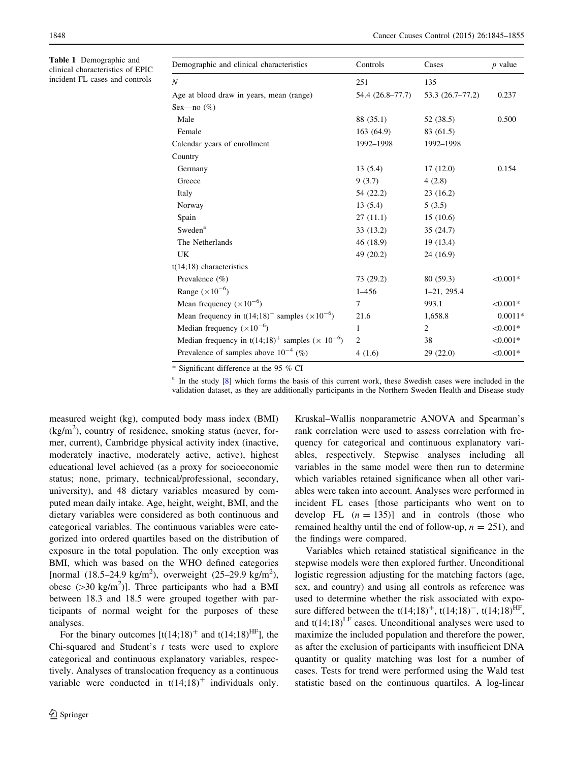<span id="page-3-0"></span>Table 1 Demographic and clinical characteristics of EPIC incident FL cases and controls

| Demographic and clinical characteristics                               | Controls         | Cases               | $p$ value  |
|------------------------------------------------------------------------|------------------|---------------------|------------|
| $\boldsymbol{N}$                                                       | 251              | 135                 |            |
| Age at blood draw in years, mean (range)                               | 54.4 (26.8-77.7) | $53.3(26.7 - 77.2)$ | 0.237      |
| Sex—no $(\%)$                                                          |                  |                     |            |
| Male                                                                   | 88 (35.1)        | 52 (38.5)           | 0.500      |
| Female                                                                 | 163 (64.9)       | 83 (61.5)           |            |
| Calendar years of enrollment                                           | 1992-1998        | 1992-1998           |            |
| Country                                                                |                  |                     |            |
| Germany                                                                | 13(5.4)          | 17(12.0)            | 0.154      |
| Greece                                                                 | 9(3.7)           | 4(2.8)              |            |
| Italy                                                                  | 54 (22.2)        | 23(16.2)            |            |
| Norway                                                                 | 13(5.4)          | 5(3.5)              |            |
| Spain                                                                  | 27(11.1)         | 15(10.6)            |            |
| Sweden <sup>a</sup>                                                    | 33(13.2)         | 35 (24.7)           |            |
| The Netherlands                                                        | 46 (18.9)        | 19 (13.4)           |            |
| UK                                                                     | 49(20.2)         | 24 (16.9)           |            |
| $t(14;18)$ characteristics                                             |                  |                     |            |
| Prevalence $(\% )$                                                     | 73 (29.2)        | 80 (59.3)           | $< 0.001*$ |
| Range $(\times 10^{-6})$                                               | $1 - 456$        | $1 - 21, 295.4$     |            |
| Mean frequency $(\times 10^{-6})$                                      | 7                | 993.1               | $< 0.001*$ |
| Mean frequency in t(14;18) <sup>+</sup> samples ( $\times 10^{-6}$ )   | 21.6             | 1,658.8             | $0.0011*$  |
| Median frequency $(\times 10^{-6})$                                    | 1                | 2                   | $< 0.001*$ |
| Median frequency in $t(14;18)^+$ samples ( $\times$ 10 <sup>-6</sup> ) | $\overline{c}$   | 38                  | $< 0.001*$ |
| Prevalence of samples above $10^{-4}$ (%)                              | 4(1.6)           | 29(22.0)            | $< 0.001*$ |

\* Significant difference at the 95 % CI

<sup>a</sup> In the study [[8\]](#page-10-0) which forms the basis of this current work, these Swedish cases were included in the validation dataset, as they are additionally participants in the Northern Sweden Health and Disease study

measured weight (kg), computed body mass index (BMI)  $(kg/m<sup>2</sup>)$ , country of residence, smoking status (never, former, current), Cambridge physical activity index (inactive, moderately inactive, moderately active, active), highest educational level achieved (as a proxy for socioeconomic status; none, primary, technical/professional, secondary, university), and 48 dietary variables measured by computed mean daily intake. Age, height, weight, BMI, and the dietary variables were considered as both continuous and categorical variables. The continuous variables were categorized into ordered quartiles based on the distribution of exposure in the total population. The only exception was BMI, which was based on the WHO defined categories [normal  $(18.5-24.9 \text{ kg/m}^2)$ , overweight  $(25-29.9 \text{ kg/m}^2)$ , obese ( $>$ 30 kg/m<sup>2</sup>)]. Three participants who had a BMI between 18.3 and 18.5 were grouped together with participants of normal weight for the purposes of these analyses.

For the binary outcomes  $[t(14;18)^{+}$  and  $t(14;18)^{HF}]$ , the Chi-squared and Student's  $t$  tests were used to explore categorical and continuous explanatory variables, respectively. Analyses of translocation frequency as a continuous variable were conducted in  $t(14;18)^+$  individuals only.

Kruskal–Wallis nonparametric ANOVA and Spearman's rank correlation were used to assess correlation with frequency for categorical and continuous explanatory variables, respectively. Stepwise analyses including all variables in the same model were then run to determine which variables retained significance when all other variables were taken into account. Analyses were performed in incident FL cases [those participants who went on to develop FL  $(n = 135)$ ] and in controls (those who remained healthy until the end of follow-up,  $n = 251$ ), and the findings were compared.

Variables which retained statistical significance in the stepwise models were then explored further. Unconditional logistic regression adjusting for the matching factors (age, sex, and country) and using all controls as reference was used to determine whether the risk associated with exposure differed between the  $t(14;18)^{+}$ ,  $t(14;18)^{-}$ ,  $t(14;18)^{HF}$ , and  $t(14;18)^{LF}$  cases. Unconditional analyses were used to maximize the included population and therefore the power, as after the exclusion of participants with insufficient DNA quantity or quality matching was lost for a number of cases. Tests for trend were performed using the Wald test statistic based on the continuous quartiles. A log-linear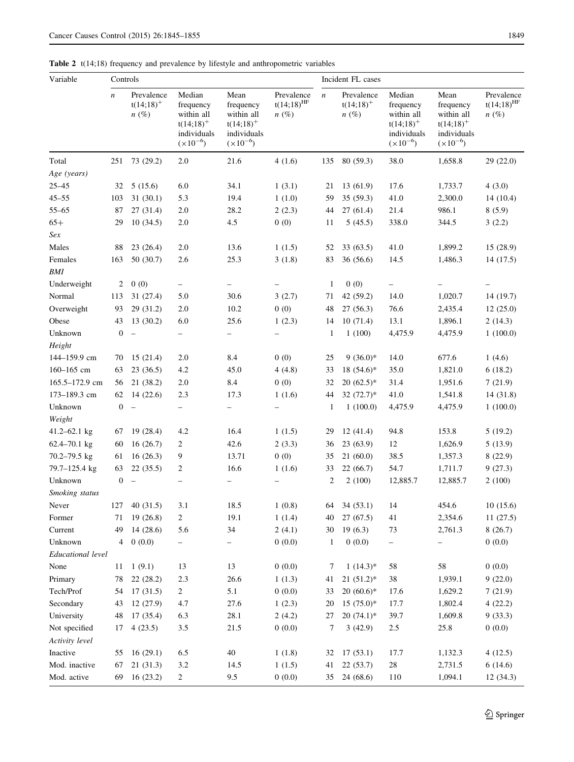<span id="page-4-0"></span>Table 2 t(14;18) frequency and prevalence by lifestyle and anthropometric variables

| Variable          | Controls         |                                       |                                                                                  |                                                                                |                                                   |                  | Incident FL cases                     |                                                                                  |                                                                                |                                                   |
|-------------------|------------------|---------------------------------------|----------------------------------------------------------------------------------|--------------------------------------------------------------------------------|---------------------------------------------------|------------------|---------------------------------------|----------------------------------------------------------------------------------|--------------------------------------------------------------------------------|---------------------------------------------------|
|                   | $\boldsymbol{n}$ | Prevalence<br>$t(14;18)^+$<br>$n(\%)$ | Median<br>frequency<br>within all<br>$t(14;18)^+$<br>individuals<br>$(x10^{-6})$ | Mean<br>frequency<br>within all<br>$t(14;18)^+$<br>individuals<br>$(x10^{-6})$ | Prevalence<br>$t(14;18)$ <sup>HF</sup><br>$n(\%)$ | $\boldsymbol{n}$ | Prevalence<br>$t(14;18)^+$<br>$n(\%)$ | Median<br>frequency<br>within all<br>$t(14;18)^+$<br>individuals<br>$(x10^{-6})$ | Mean<br>frequency<br>within all<br>$t(14;18)^+$<br>individuals<br>$(x10^{-6})$ | Prevalence<br>$t(14;18)$ <sup>HF</sup><br>$n(\%)$ |
| Total             | 251              | 73 (29.2)                             | 2.0                                                                              | 21.6                                                                           | 4(1.6)                                            | 135              | 80 (59.3)                             | 38.0                                                                             | 1,658.8                                                                        | 29(22.0)                                          |
| Age (years)       |                  |                                       |                                                                                  |                                                                                |                                                   |                  |                                       |                                                                                  |                                                                                |                                                   |
| $25 - 45$         | 32               | 5(15.6)                               | 6.0                                                                              | 34.1                                                                           | 1(3.1)                                            | 21               | 13(61.9)                              | 17.6                                                                             | 1,733.7                                                                        | 4(3.0)                                            |
| $45 - 55$         | 103              | 31(30.1)                              | 5.3                                                                              | 19.4                                                                           | 1(1.0)                                            | 59               | 35 (59.3)                             | 41.0                                                                             | 2,300.0                                                                        | 14(10.4)                                          |
| $55 - 65$         | 87               | 27(31.4)                              | 2.0                                                                              | 28.2                                                                           | 2(2.3)                                            | 44               | 27(61.4)                              | 21.4                                                                             | 986.1                                                                          | 8(5.9)                                            |
| $65+$             | 29               | 10(34.5)                              | 2.0                                                                              | 4.5                                                                            | 0(0)                                              | 11               | 5(45.5)                               | 338.0                                                                            | 344.5                                                                          | 3(2.2)                                            |
| Sex               |                  |                                       |                                                                                  |                                                                                |                                                   |                  |                                       |                                                                                  |                                                                                |                                                   |
| Males             | 88               | 23(26.4)                              | 2.0                                                                              | 13.6                                                                           | 1(1.5)                                            | 52               | 33(63.5)                              | 41.0                                                                             | 1,899.2                                                                        | 15 (28.9)                                         |
| Females           | 163              | 50(30.7)                              | 2.6                                                                              | 25.3                                                                           | 3(1.8)                                            | 83               | 36(56.6)                              | 14.5                                                                             | 1,486.3                                                                        | 14(17.5)                                          |
| <b>BMI</b>        |                  |                                       |                                                                                  |                                                                                |                                                   |                  |                                       |                                                                                  |                                                                                |                                                   |
| Underweight       | 2                | 0(0)                                  | $\qquad \qquad -$                                                                | $\qquad \qquad -$                                                              |                                                   | $\mathbf{1}$     | 0(0)                                  | $\overline{\phantom{0}}$                                                         |                                                                                |                                                   |
| Normal            | 113              | 31 (27.4)                             | 5.0                                                                              | 30.6                                                                           | 3(2.7)                                            | 71               | 42 (59.2)                             | 14.0                                                                             | 1,020.7                                                                        | 14(19.7)                                          |
| Overweight        | 93               | 29 (31.2)                             | 2.0                                                                              | 10.2                                                                           | 0(0)                                              | 48               | 27(56.3)                              | 76.6                                                                             | 2,435.4                                                                        | 12(25.0)                                          |
| Obese             | 43               | 13(30.2)                              | 6.0                                                                              | 25.6                                                                           | 1(2.3)                                            | 14               | 10(71.4)                              | 13.1                                                                             | 1,896.1                                                                        | 2(14.3)                                           |
| Unknown           | $\boldsymbol{0}$ | $\hspace{0.1in} - \hspace{0.1in}$     | $\qquad \qquad -$                                                                | $\qquad \qquad -$                                                              | $\overline{\phantom{0}}$                          | $\mathbf{1}$     | 1(100)                                | 4,475.9                                                                          | 4,475.9                                                                        | 1(100.0)                                          |
| Height            |                  |                                       |                                                                                  |                                                                                |                                                   |                  |                                       |                                                                                  |                                                                                |                                                   |
| 144-159.9 cm      | 70               | 15(21.4)                              | 2.0                                                                              | 8.4                                                                            | 0(0)                                              | 25               | $9(36.0)$ *                           | 14.0                                                                             | 677.6                                                                          | 1(4.6)                                            |
| 160-165 cm        | 63               | 23(36.5)                              | 4.2                                                                              | 45.0                                                                           | 4(4.8)                                            | 33               | $18(54.6)^*$                          | 35.0                                                                             | 1,821.0                                                                        | 6(18.2)                                           |
| 165.5-172.9 cm    | 56               | 21 (38.2)                             | $2.0\,$                                                                          | 8.4                                                                            | 0(0)                                              | 32               | $20(62.5)*$                           | 31.4                                                                             | 1,951.6                                                                        | 7(21.9)                                           |
| 173-189.3 cm      | 62               | 14(22.6)                              | 2.3                                                                              | 17.3                                                                           | 1(1.6)                                            | 44               | 32 $(72.7)$ *                         | 41.0                                                                             | 1,541.8                                                                        | 14(31.8)                                          |
| Unknown           | $\boldsymbol{0}$ | $\overline{\phantom{a}}$              | $\qquad \qquad -$                                                                | $\qquad \qquad -$                                                              |                                                   | 1                | 1(100.0)                              | 4,475.9                                                                          | 4,475.9                                                                        | 1(100.0)                                          |
| Weight            |                  |                                       |                                                                                  |                                                                                |                                                   |                  |                                       |                                                                                  |                                                                                |                                                   |
| 41.2-62.1 kg      | 67               | 19(28.4)                              | 4.2                                                                              | 16.4                                                                           | 1(1.5)                                            | 29               | 12(41.4)                              | 94.8                                                                             | 153.8                                                                          | 5(19.2)                                           |
| 62.4-70.1 kg      | 60               | 16(26.7)                              | 2                                                                                | 42.6                                                                           | 2(3.3)                                            | 36               | 23(63.9)                              | 12                                                                               | 1,626.9                                                                        | 5(13.9)                                           |
| $70.2 - 79.5$ kg  | 61               | 16(26.3)                              | 9                                                                                | 13.71                                                                          | 0(0)                                              | 35               | 21(60.0)                              | 38.5                                                                             | 1,357.3                                                                        | 8(22.9)                                           |
| 79.7-125.4 kg     | 63               | 22(35.5)                              | 2                                                                                | 16.6                                                                           | 1(1.6)                                            | 33               | 22(66.7)                              | 54.7                                                                             | 1,711.7                                                                        | 9(27.3)                                           |
| Unknown           | $\boldsymbol{0}$ | $\frac{1}{2}$                         | $\qquad \qquad -$                                                                |                                                                                |                                                   | 2                | 2(100)                                | 12,885.7                                                                         | 12,885.7                                                                       | 2(100)                                            |
| Smoking status    |                  |                                       |                                                                                  |                                                                                |                                                   |                  |                                       |                                                                                  |                                                                                |                                                   |
| Never             | 127              | 40(31.5)                              | 3.1                                                                              | 18.5                                                                           | 1(0.8)                                            | 64               | 34(53.1)                              | 14                                                                               | 454.6                                                                          | 10(15.6)                                          |
| Former            | 71               | 19(26.8)                              | $\overline{c}$                                                                   | 19.1                                                                           | 1(1.4)                                            | 40               | 27(67.5)                              | 41                                                                               | 2,354.6                                                                        | 11(27.5)                                          |
| Current           | 49               | 14(28.6)                              | 5.6                                                                              | 34                                                                             | 2(4.1)                                            | 30               | 19(6.3)                               | 73                                                                               | 2,761.3                                                                        | 8(26.7)                                           |
| Unknown           | 4                | 0(0.0)                                | -                                                                                | -                                                                              | 0(0.0)                                            | $\mathbf{1}$     | 0(0.0)                                | -                                                                                | $\qquad \qquad -$                                                              | 0(0.0)                                            |
| Educational level |                  |                                       |                                                                                  |                                                                                |                                                   |                  |                                       |                                                                                  |                                                                                |                                                   |
| None              | 11               | 1(9.1)                                | 13                                                                               | 13                                                                             | 0(0.0)                                            | 7                | $1(14.3)^*$                           | 58                                                                               | 58                                                                             | 0(0.0)                                            |
| Primary           | 78               | 22(28.2)                              | 2.3                                                                              | 26.6                                                                           | 1(1.3)                                            | 41               | $21(51.2)^*$                          | $38\,$                                                                           | 1,939.1                                                                        | 9(22.0)                                           |
| Tech/Prof         | 54               | 17(31.5)                              | $\overline{2}$                                                                   | $5.1\,$                                                                        | 0(0.0)                                            | 33               | $20(60.6)*$                           | 17.6                                                                             | 1,629.2                                                                        | 7(21.9)                                           |
| Secondary         | 43               | 12 (27.9)                             | 4.7                                                                              | 27.6                                                                           | 1(2.3)                                            | 20               | $15(75.0)^*$                          | 17.7                                                                             | 1,802.4                                                                        | 4(22.2)                                           |
| University        | 48               | 17 (35.4)                             | 6.3                                                                              | 28.1                                                                           | 2(4.2)                                            | 27               | $20(74.1)$ *                          | 39.7                                                                             | 1,609.8                                                                        | 9(33.3)                                           |
| Not specified     | 17               | 4(23.5)                               | 3.5                                                                              | 21.5                                                                           | 0(0.0)                                            | 7                | 3(42.9)                               | 2.5                                                                              | 25.8                                                                           | 0(0.0)                                            |
| Activity level    |                  |                                       |                                                                                  |                                                                                |                                                   |                  |                                       |                                                                                  |                                                                                |                                                   |
| Inactive          | 55               | 16(29.1)                              | 6.5                                                                              | $40\,$                                                                         | 1(1.8)                                            | 32               | 17(53.1)                              | 17.7                                                                             | 1,132.3                                                                        | 4(12.5)                                           |
| Mod. inactive     | 67               | 21(31.3)                              | 3.2                                                                              | 14.5                                                                           | 1(1.5)                                            | 41               | 22(53.7)                              | $28\,$                                                                           | 2,731.5                                                                        | 6(14.6)                                           |
| Mod. active       | 69               | 16(23.2)                              | $\overline{c}$                                                                   | 9.5                                                                            | 0(0.0)                                            | 35               | 24 (68.6)                             | 110                                                                              | 1,094.1                                                                        | 12(34.3)                                          |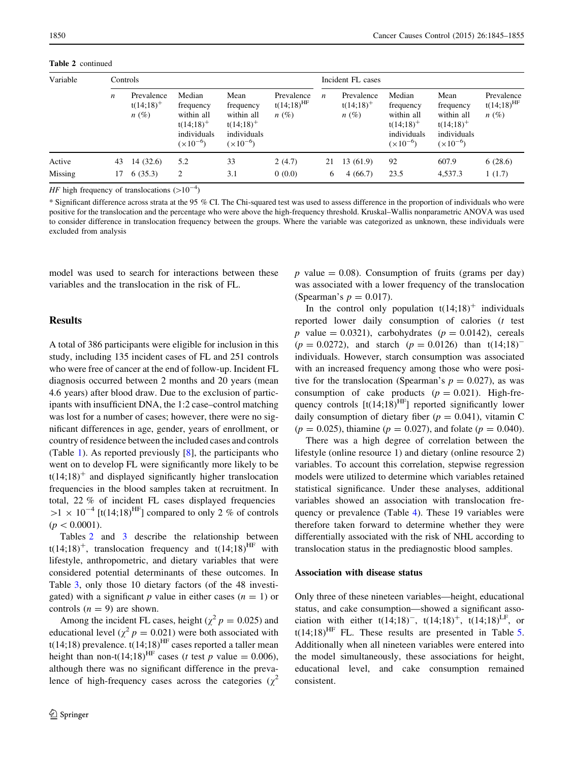Table 2 continued

| Variable          | Controls         |                                       |                                                                                  |                                                                                |                                                   |         | Incident FL cases                     |                                                                                  |                                                                                |                                                   |
|-------------------|------------------|---------------------------------------|----------------------------------------------------------------------------------|--------------------------------------------------------------------------------|---------------------------------------------------|---------|---------------------------------------|----------------------------------------------------------------------------------|--------------------------------------------------------------------------------|---------------------------------------------------|
|                   | $\boldsymbol{n}$ | Prevalence<br>$t(14;18)^+$<br>$n(\%)$ | Median<br>frequency<br>within all<br>$t(14;18)^+$<br>individuals<br>$(x10^{-6})$ | Mean<br>frequency<br>within all<br>$t(14;18)^+$<br>individuals<br>$(x10^{-6})$ | Prevalence<br>$t(14;18)$ <sup>HF</sup><br>$n(\%)$ | n       | Prevalence<br>$t(14;18)^+$<br>$n(\%)$ | Median<br>frequency<br>within all<br>$t(14;18)^+$<br>individuals<br>$(x10^{-6})$ | Mean<br>frequency<br>within all<br>$t(14;18)^+$<br>individuals<br>$(x10^{-6})$ | Prevalence<br>$t(14;18)$ <sup>HF</sup><br>$n(\%)$ |
| Active<br>Missing | 43<br>17         | 14(32.6)<br>6(35.3)                   | 5.2<br>$\overline{c}$                                                            | 33<br>3.1                                                                      | 2(4.7)<br>0(0.0)                                  | 21<br>6 | 13 (61.9)<br>4(66.7)                  | 92<br>23.5                                                                       | 607.9<br>4,537.3                                                               | 6(28.6)<br>1(1.7)                                 |

*HF* high frequency of translocations  $(>10^{-4})$ 

\* Significant difference across strata at the 95 % CI. The Chi-squared test was used to assess difference in the proportion of individuals who were positive for the translocation and the percentage who were above the high-frequency threshold. Kruskal–Wallis nonparametric ANOVA was used to consider difference in translocation frequency between the groups. Where the variable was categorized as unknown, these individuals were excluded from analysis

model was used to search for interactions between these variables and the translocation in the risk of FL.

# **Results**

A total of 386 participants were eligible for inclusion in this study, including 135 incident cases of FL and 251 controls who were free of cancer at the end of follow-up. Incident FL diagnosis occurred between 2 months and 20 years (mean 4.6 years) after blood draw. Due to the exclusion of participants with insufficient DNA, the 1:2 case–control matching was lost for a number of cases; however, there were no significant differences in age, gender, years of enrollment, or country of residence between the included cases and controls (Table [1](#page-3-0)). As reported previously [\[8](#page-10-0)], the participants who went on to develop FL were significantly more likely to be  $t(14;18)^+$  and displayed significantly higher translocation frequencies in the blood samples taken at recruitment. In total, 22 % of incident FL cases displayed frequencies  $>1 \times 10^{-4}$  [t(14;18)<sup>HF</sup>] compared to only 2 % of controls  $(p<0.0001)$ .

Tables [2](#page-4-0) and [3](#page-6-0) describe the relationship between  $t(14;18)^+$ , translocation frequency and  $t(14;18)^{HF}$  with lifestyle, anthropometric, and dietary variables that were considered potential determinants of these outcomes. In Table [3](#page-6-0), only those 10 dietary factors (of the 48 investigated) with a significant p value in either cases  $(n = 1)$  or controls  $(n = 9)$  are shown.

Among the incident FL cases, height ( $\chi^2 p = 0.025$ ) and educational level ( $\chi^2 p = 0.021$ ) were both associated with t(14;18) prevalence.  $t(14;18)$ <sup>HF</sup> cases reported a taller mean height than non-t(14;18)<sup>HF</sup> cases (*t* test *p* value = 0.006), although there was no significant difference in the prevalence of high-frequency cases across the categories  $(\chi^2)$ 

p value  $= 0.08$ ). Consumption of fruits (grams per day) was associated with a lower frequency of the translocation (Spearman's  $p = 0.017$ ).

In the control only population  $t(14;18)^+$  individuals reported lower daily consumption of calories (t test p value = 0.0321), carbohydrates ( $p = 0.0142$ ), cereals  $(p = 0.0272)$ , and starch  $(p = 0.0126)$  than t(14;18)<sup>-</sup> individuals. However, starch consumption was associated with an increased frequency among those who were positive for the translocation (Spearman's  $p = 0.027$ ), as was consumption of cake products  $(p = 0.021)$ . High-frequency controls  $[t(14;18)$ <sup>HF</sup>] reported significantly lower daily consumption of dietary fiber ( $p = 0.041$ ), vitamin C  $(p = 0.025)$ , thiamine  $(p = 0.027)$ , and folate  $(p = 0.040)$ .

There was a high degree of correlation between the lifestyle (online resource 1) and dietary (online resource 2) variables. To account this correlation, stepwise regression models were utilized to determine which variables retained statistical significance. Under these analyses, additional variables showed an association with translocation frequency or prevalence (Table [4](#page-7-0)). These 19 variables were therefore taken forward to determine whether they were differentially associated with the risk of NHL according to translocation status in the prediagnostic blood samples.

## Association with disease status

Only three of these nineteen variables—height, educational status, and cake consumption—showed a significant association with either  $t(14;18)^{-}$ ,  $t(14;18)^{+}$ ,  $t(14;18)^{LF}$ , or t(14:18)<sup>HF</sup> FL. These results are presented in Table [5.](#page-8-0) Additionally when all nineteen variables were entered into the model simultaneously, these associations for height, educational level, and cake consumption remained consistent.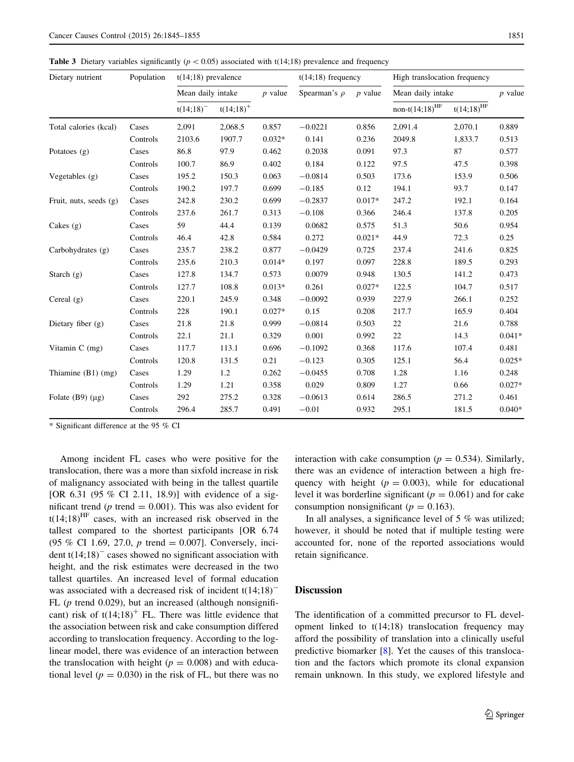Mean daily intake p value Spearman's  $\rho$  p value Mean daily intake p value  $t(14;18)^ t(14;18)^+$  non- $t(14;18)^{\text{HF}}$   $t(14;18)^{\text{HF}}$   $t(14;18)^{\text{HF}}$ Total calories (kcal) Cases 2,091 2,068.5 0.857 -0.0221 0.856 2,091.4 2,070.1 0.889 Controls 2103.6 1907.7 0.032\* 0.141 0.236 2049.8 1,833.7 0.513 Potatoes (g) Cases 86.8 97.9 0.462 0.2038 0.091 97.3 87 0.577 Controls 100.7 86.9 0.402 0.184 0.122 97.5 47.5 0.398 Vegetables (g) Cases 195.2 150.3 0.063 -0.0814 0.503 173.6 153.9 0.506 Controls 190.2 197.7 0.699 -0.185 0.12 194.1 93.7 0.147 Fruit, nuts, seeds (g) Cases 242.8 230.2 0.699 -0.2837 0.017\* 247.2 192.1 0.164 Controls 237.6 261.7 0.313 -0.108 0.366 246.4 137.8 0.205 Cakes (g) Cases 59 44.4 0.139 0.0682 0.575 51.3 50.6 0.954 Controls 46.4 42.8 0.584 0.272 0.021\* 44.9 72.3 0.25 Carbohydrates (g) Cases 235.7 238.2 0.877 -0.0429 0.725 237.4 241.6 0.825 Controls 235.6 210.3 0.014\* 0.197 0.097 228.8 189.5 0.293 Starch (g) Cases 127.8 134.7 0.573 0.0079 0.948 130.5 141.2 0.473 Controls 127.7 108.8 0.013\* 0.261 0.027\* 122.5 104.7 0.517 Cereal (g) Cases 220.1 245.9 0.348 -0.0092 0.939 227.9 266.1 0.252 Controls 228 190.1 0.027\* 0.15 0.208 217.7 165.9 0.404 Dietary fiber (g) Cases 21.8 21.8 0.999 -0.0814 0.503 22 21.6 0.788 Controls 22.1 21.1 0.329 0.001 0.992 22 14.3 0.041\* Vitamin C (mg) Cases 117.7 113.1 0.696 -0.1092 0.368 117.6 107.4 0.481 Controls 120.8 131.5 0.21 -0.123 0.305 125.1 56.4 0.025\* Thiamine (B1) (mg) Cases 1.29 1.2 0.262 -0.0455 0.708 1.28 1.16 0.248

Folate (B9) (lg) Cases 292 275.2 0.328 -0.0613 0.614 286.5 271.2 0.461

Dietary nutrient Population t(14;18) prevalence t(14;18) frequency High translocation frequency

<span id="page-6-0"></span>**Table 3** Dietary variables significantly ( $p < 0.05$ ) associated with t(14;18) prevalence and frequency

\* Significant difference at the 95 % CI

Among incident FL cases who were positive for the translocation, there was a more than sixfold increase in risk of malignancy associated with being in the tallest quartile [OR 6.31 (95 % CI 2.11, 18.9)] with evidence of a significant trend ( $p$  trend = 0.001). This was also evident for  $t(14;18)^{HF}$  cases, with an increased risk observed in the tallest compared to the shortest participants [OR 6.74 (95 % CI 1.69, 27.0, p trend  $= 0.007$ ]. Conversely, incident  $t(14;18)^-$  cases showed no significant association with height, and the risk estimates were decreased in the two tallest quartiles. An increased level of formal education was associated with a decreased risk of incident  $t(14;18)^{-}$ FL ( $p$  trend 0.029), but an increased (although nonsignificant) risk of  $t(14;18)^+$  FL. There was little evidence that the association between risk and cake consumption differed according to translocation frequency. According to the loglinear model, there was evidence of an interaction between the translocation with height ( $p = 0.008$ ) and with educational level ( $p = 0.030$ ) in the risk of FL, but there was no interaction with cake consumption ( $p = 0.534$ ). Similarly, there was an evidence of interaction between a high frequency with height ( $p = 0.003$ ), while for educational level it was borderline significant ( $p = 0.061$ ) and for cake consumption nonsignificant ( $p = 0.163$ ).

In all analyses, a significance level of 5 % was utilized; however, it should be noted that if multiple testing were accounted for, none of the reported associations would retain significance.

## **Discussion**

Controls 1.29 1.21 0.358 0.029 0.809 1.27 0.66 0.027\*

Controls 296.4 285.7 0.491 -0.01 0.932 295.1 181.5 0.040\*

The identification of a committed precursor to FL development linked to t(14;18) translocation frequency may afford the possibility of translation into a clinically useful predictive biomarker [[8\]](#page-10-0). Yet the causes of this translocation and the factors which promote its clonal expansion remain unknown. In this study, we explored lifestyle and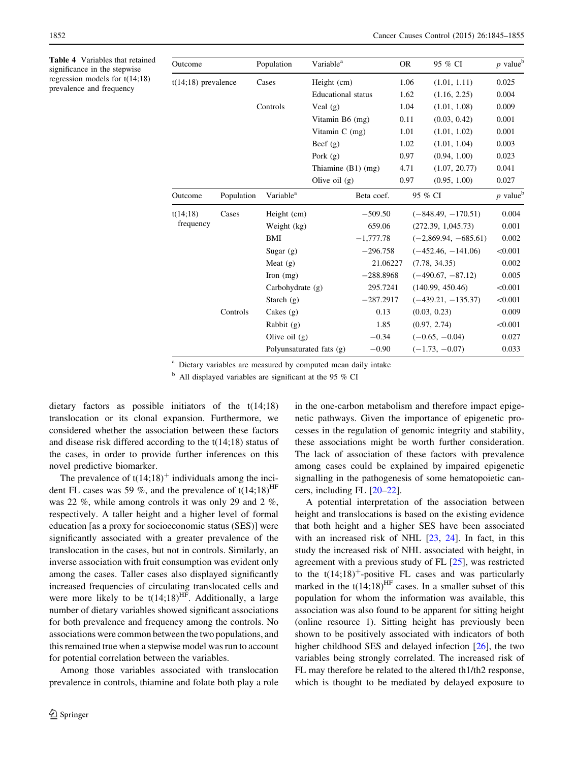<span id="page-7-0"></span>Table 4 Variables that retained significance in the stepwise regression models for t(14;18) prevalence and frequency

| Outcome               |            | Population               | Variable <sup>a</sup>     |             | <b>OR</b> | 95 % CI                | $p$ value <sup>b</sup> |
|-----------------------|------------|--------------------------|---------------------------|-------------|-----------|------------------------|------------------------|
| $t(14;18)$ prevalence |            | Cases                    | Height (cm)               |             | 1.06      | (1.01, 1.11)           | 0.025                  |
|                       |            |                          | <b>Educational</b> status |             | 1.62      | (1.16, 2.25)           | 0.004                  |
|                       |            | Controls                 | Veal $(g)$                |             | 1.04      | (1.01, 1.08)           | 0.009                  |
|                       |            |                          | Vitamin B6 (mg)           |             | 0.11      | (0.03, 0.42)           | 0.001                  |
|                       |            |                          | Vitamin $C$ (mg)          |             | 1.01      | (1.01, 1.02)           | 0.001                  |
|                       |            |                          | Beef $(g)$                |             | 1.02      | (1.01, 1.04)           | 0.003                  |
|                       |            |                          | Pork $(g)$                |             | 0.97      | (0.94, 1.00)           | 0.023                  |
|                       |            |                          | Thiamine $(B1)$ (mg)      |             | 4.71      | (1.07, 20.77)          | 0.041                  |
|                       |            |                          | Olive oil $(g)$           |             | 0.97      | (0.95, 1.00)           | 0.027                  |
| Outcome               | Population | Variable <sup>a</sup>    |                           | Beta coef.  |           | 95 % CI                | $p$ value <sup>b</sup> |
| t(14;18)              | Cases      | Height (cm)              |                           | $-509.50$   |           | $(-848.49, -170.51)$   | 0.004                  |
| frequency             |            | Weight (kg)              |                           | 659.06      |           | (272.39, 1,045.73)     | 0.001                  |
|                       |            | BMI                      |                           | $-1,777.78$ |           | $(-2,869.94, -685.61)$ | 0.002                  |
|                       |            | Sugar $(g)$              |                           | $-296.758$  |           | $(-452.46, -141.06)$   | < 0.001                |
|                       |            | Meat $(g)$               |                           | 21.06227    |           | (7.78, 34.35)          | 0.002                  |
|                       |            | Iron $(mg)$              |                           | $-288.8968$ |           | $(-490.67, -87.12)$    | 0.005                  |
|                       |            | Carbohydrate $(g)$       |                           | 295.7241    |           | (140.99, 450.46)       | < 0.001                |
|                       |            | Starch $(g)$             |                           | $-287.2917$ |           | $(-439.21, -135.37)$   | < 0.001                |
|                       | Controls   | Cakes $(g)$              |                           | 0.13        |           | (0.03, 0.23)           | 0.009                  |
|                       |            | Rabbit (g)               |                           | 1.85        |           | (0.97, 2.74)           | < 0.001                |
|                       |            | Olive oil $(g)$          |                           | $-0.34$     |           | $(-0.65, -0.04)$       | 0.027                  |
|                       |            | Polyunsaturated fats (g) |                           | $-0.90$     |           | $(-1.73, -0.07)$       | 0.033                  |

<sup>a</sup> Dietary variables are measured by computed mean daily intake

 $<sup>b</sup>$  All displayed variables are significant at the 95 % CI</sup>

dietary factors as possible initiators of the t(14;18) translocation or its clonal expansion. Furthermore, we considered whether the association between these factors and disease risk differed according to the t(14;18) status of the cases, in order to provide further inferences on this novel predictive biomarker.

The prevalence of  $t(14;18)^+$  individuals among the incident FL cases was 59 %, and the prevalence of  $t(14;18)$ <sup>HF</sup> was 22 %, while among controls it was only 29 and 2 %, respectively. A taller height and a higher level of formal education [as a proxy for socioeconomic status (SES)] were significantly associated with a greater prevalence of the translocation in the cases, but not in controls. Similarly, an inverse association with fruit consumption was evident only among the cases. Taller cases also displayed significantly increased frequencies of circulating translocated cells and were more likely to be  $t(14;18)$ <sup>HF</sup>. Additionally, a large number of dietary variables showed significant associations for both prevalence and frequency among the controls. No associations were common between the two populations, and this remained true when a stepwise model was run to account for potential correlation between the variables.

Among those variables associated with translocation prevalence in controls, thiamine and folate both play a role in the one-carbon metabolism and therefore impact epigenetic pathways. Given the importance of epigenetic processes in the regulation of genomic integrity and stability, these associations might be worth further consideration. The lack of association of these factors with prevalence among cases could be explained by impaired epigenetic signalling in the pathogenesis of some hematopoietic cancers, including FL [[20–22](#page-10-0)].

A potential interpretation of the association between height and translocations is based on the existing evidence that both height and a higher SES have been associated with an increased risk of NHL [\[23](#page-10-0), [24](#page-10-0)]. In fact, in this study the increased risk of NHL associated with height, in agreement with a previous study of FL [[25\]](#page-10-0), was restricted to the  $t(14;18)^+$ -positive FL cases and was particularly marked in the  $t(14;18)$ <sup>HF</sup> cases. In a smaller subset of this population for whom the information was available, this association was also found to be apparent for sitting height (online resource 1). Sitting height has previously been shown to be positively associated with indicators of both higher childhood SES and delayed infection [\[26](#page-10-0)], the two variables being strongly correlated. The increased risk of FL may therefore be related to the altered th1/th2 response, which is thought to be mediated by delayed exposure to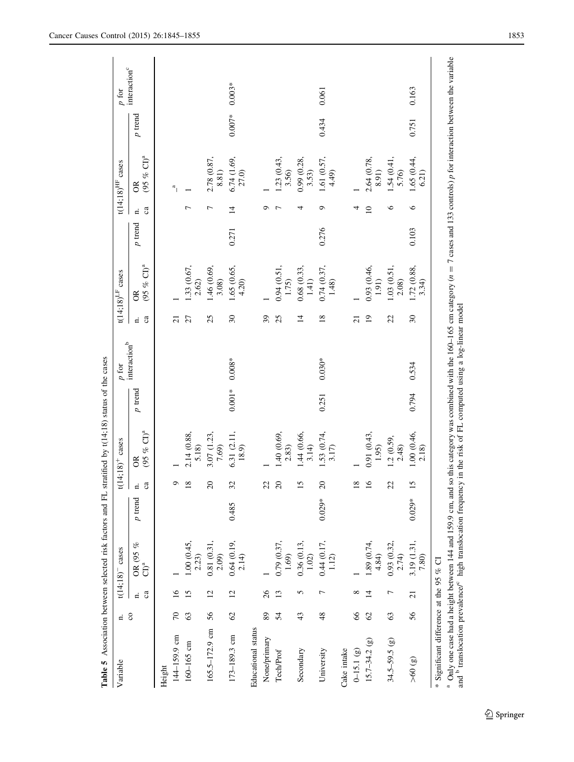<span id="page-8-0"></span>

| Variable                                                                                                                                 | $\overline{a}$ |                 | $t(14;18)$ <sup>-</sup> cases |          |                            | $t(14;18)^+$ cases                                                                                                                                  |           | $p$ for         |                          | t(14;18) $LF$ cases        |         |                | $t(14;18)$ <sup>HF</sup> cases     |          | $p$ for                  |
|------------------------------------------------------------------------------------------------------------------------------------------|----------------|-----------------|-------------------------------|----------|----------------------------|-----------------------------------------------------------------------------------------------------------------------------------------------------|-----------|-----------------|--------------------------|----------------------------|---------|----------------|------------------------------------|----------|--------------------------|
|                                                                                                                                          | $\rm{c}$       | Ga<br>₫         | OR (95 % CI) <sup>a</sup>     | p trend  | $\mathbf{a}$<br>$\ddot{a}$ | $(95\% \text{ CI})^a$<br>g                                                                                                                          | $p$ trend | interaction $b$ | Ga<br>₫                  | $(95\% \text{ CI})^4$<br>g | p trend | ca<br>₫        | $(95 \% \text{ CI})^a$<br>$\infty$ | p trend  | interaction <sup>c</sup> |
| Height                                                                                                                                   |                |                 |                               |          |                            |                                                                                                                                                     |           |                 |                          |                            |         |                |                                    |          |                          |
| 144-159.9 cm                                                                                                                             | $\sqrt{2}$     | $\overline{16}$ |                               |          | ᡋ                          |                                                                                                                                                     |           |                 | ಸ                        |                            |         |                | a                                  |          |                          |
| $160 - 165$ cm                                                                                                                           | S              | 15              | 1.00(0.45, 2.23)              |          | $^{\infty}$                | 2.14(0.88, 5.18)                                                                                                                                    |           |                 | 27                       | 1.33 (0.67,<br>2.62)       |         |                |                                    |          |                          |
| $165.5 - 172.9$ cm                                                                                                                       | 56             | $\overline{c}$  | 0.81 (0.31,<br>2.09)          |          | $\Omega$                   | 3.07 (1.23,<br>7.69)                                                                                                                                |           |                 | 25                       | 1.46 (0.69,<br>3.08)       |         | Γ              | 2.78 (0.87,<br>8.81)               |          |                          |
| 173-189.3 cm                                                                                                                             | $\mathcal{O}$  | $\overline{c}$  | 0.64(0.19,<br>2.14)           | 0.485    | 32                         | 6.31 (2.11,<br>18.9)                                                                                                                                | $0.001*$  | $0.008*$        | $\mathfrak{D}$           | 1.65(0.65, 4.20)           | 0.271   | $\overline{4}$ | 6.74(1.69, 27.0)                   | $0.007*$ | $0.003*$                 |
| Educational status                                                                                                                       |                |                 |                               |          |                            |                                                                                                                                                     |           |                 |                          |                            |         |                |                                    |          |                          |
| None/primary                                                                                                                             | 89             | $\delta$        |                               |          | 22                         |                                                                                                                                                     |           |                 | 39                       |                            |         | െ              |                                    |          |                          |
| Tech/Prof                                                                                                                                | 54             | $\overline{13}$ | 0.79(0.37, 1.69)              |          | $\Omega$                   | 1.40(0.69, 2.83)                                                                                                                                    |           |                 | 25                       | 0.94(0.51,<br>1.75)        |         |                | .23(0.43,<br>3.56)                 |          |                          |
| Secondary                                                                                                                                | 43             | 5               | 0.36(0.13,<br>1.02)           |          | $\overline{15}$            | 1.44 (0.66,<br>3.14)                                                                                                                                |           |                 | $\overline{4}$           | 0.68(0.33,<br>1.41)        |         | 4              | 0.99 (0.28,<br>3.53)               |          |                          |
| University                                                                                                                               | 48             |                 | $0.44~(0.17,\\ 1.12)$         | $0.029*$ | $\Omega$                   | 1.53(0.74, 3.17)                                                                                                                                    | 0.251     | $0.030*$        | $\frac{8}{2}$            | 0.74(0.37, 1.48)           | 0.276   | ᡋ              | 1.61(0.57, 4.49)                   | 0.434    | 0.061                    |
| Cake intake                                                                                                                              |                |                 |                               |          |                            |                                                                                                                                                     |           |                 |                          |                            |         |                |                                    |          |                          |
| $0-15.1(g)$                                                                                                                              | 8              |                 |                               |          | ≌                          |                                                                                                                                                     |           |                 | $\overline{c}$           |                            |         |                |                                    |          |                          |
| $15.7 - 34.2$ (g)                                                                                                                        | $\mathcal{O}$  | ᅺ               | .89(0.74,<br>4.84             |          | $\tilde{a}$                | 0.91(0.43)<br>1.95)                                                                                                                                 |           |                 | $\overline{19}$          | 0.93 (0.46,<br>1.91)       |         | $\Omega$       | 2.64(0.78,<br>8.91)                |          |                          |
| $34.5 - 59.5$ (g)                                                                                                                        | $\mathcal{C}$  |                 | 0.93(0.32,<br>2.74)           |          | 22                         | 1.2 (0.59,<br>2.48                                                                                                                                  |           |                 | 22                       | 1.03 (0.51,<br>2.08)       |         | ७              | .54(0.41,<br>5.76)                 |          |                          |
| (3)09 <                                                                                                                                  | 56             | $\overline{c}$  | 3.19(1.31, 7.80)              | $0.029*$ | $\overline{15}$            | 1.00(0.46, 2.18)                                                                                                                                    | 0.794     | 0.534           | $\overline{\mathcal{E}}$ | 1.72(0.88, 3.34)           | 0.103   | ७              | 1.65(0.44, 6.21)                   | 0.751    | 0.163                    |
| <sup>a</sup> Only one case had a height between 144 and 159.9 cm, and<br>* Significant difference at the 95 % CI                         |                |                 |                               |          |                            | so this category was combined with the 160–165 cm category $(n = 7 \text{ cases and } 133 \text{ controls})$ p for interaction between the variable |           |                 |                          |                            |         |                |                                    |          |                          |
| and <sup>b</sup> translocation prevalence/ <sup>c</sup> high translocation frequency in the risk of FL computed using a log-linear model |                |                 |                               |          |                            |                                                                                                                                                     |           |                 |                          |                            |         |                |                                    |          |                          |

Table 5 Association between selected risk factors and FL stratified by t(14;18) status of the cases **Table 5** Association between selected risk factors and FL stratified by t(14;18) status of the cases and  $\beta$  translocation prevalence/ $\alpha$  high translocation frequency in the risk of FL computed using a log-linear model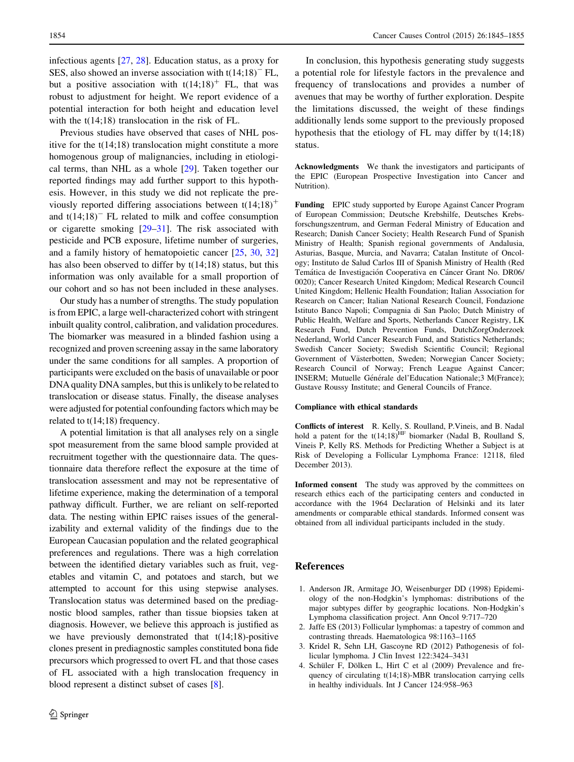<span id="page-9-0"></span>infectious agents [[27,](#page-10-0) [28](#page-10-0)]. Education status, as a proxy for SES, also showed an inverse association with  $t(14;18)^-$  FL, but a positive association with  $t(14;18)^+$  FL, that was robust to adjustment for height. We report evidence of a potential interaction for both height and education level with the  $t(14;18)$  translocation in the risk of FL.

Previous studies have observed that cases of NHL positive for the t(14;18) translocation might constitute a more homogenous group of malignancies, including in etiological terms, than NHL as a whole [\[29](#page-10-0)]. Taken together our reported findings may add further support to this hypothesis. However, in this study we did not replicate the previously reported differing associations between  $t(14;18)^+$ and  $t(14;18)^-$  FL related to milk and coffee consumption or cigarette smoking [[29–31\]](#page-10-0). The risk associated with pesticide and PCB exposure, lifetime number of surgeries, and a family history of hematopoietic cancer [[25,](#page-10-0) [30,](#page-10-0) [32\]](#page-10-0) has also been observed to differ by t(14;18) status, but this information was only available for a small proportion of our cohort and so has not been included in these analyses.

Our study has a number of strengths. The study population is from EPIC, a large well-characterized cohort with stringent inbuilt quality control, calibration, and validation procedures. The biomarker was measured in a blinded fashion using a recognized and proven screening assay in the same laboratory under the same conditions for all samples. A proportion of participants were excluded on the basis of unavailable or poor DNA quality DNA samples, but this is unlikely to be related to translocation or disease status. Finally, the disease analyses were adjusted for potential confounding factors which may be related to t(14;18) frequency.

A potential limitation is that all analyses rely on a single spot measurement from the same blood sample provided at recruitment together with the questionnaire data. The questionnaire data therefore reflect the exposure at the time of translocation assessment and may not be representative of lifetime experience, making the determination of a temporal pathway difficult. Further, we are reliant on self-reported data. The nesting within EPIC raises issues of the generalizability and external validity of the findings due to the European Caucasian population and the related geographical preferences and regulations. There was a high correlation between the identified dietary variables such as fruit, vegetables and vitamin C, and potatoes and starch, but we attempted to account for this using stepwise analyses. Translocation status was determined based on the prediagnostic blood samples, rather than tissue biopsies taken at diagnosis. However, we believe this approach is justified as we have previously demonstrated that  $t(14;18)$ -positive clones present in prediagnostic samples constituted bona fide precursors which progressed to overt FL and that those cases of FL associated with a high translocation frequency in blood represent a distinct subset of cases [[8\]](#page-10-0).

In conclusion, this hypothesis generating study suggests a potential role for lifestyle factors in the prevalence and frequency of translocations and provides a number of avenues that may be worthy of further exploration. Despite the limitations discussed, the weight of these findings additionally lends some support to the previously proposed hypothesis that the etiology of FL may differ by t(14;18) status.

Acknowledgments We thank the investigators and participants of the EPIC (European Prospective Investigation into Cancer and Nutrition).

Funding EPIC study supported by Europe Against Cancer Program of European Commission; Deutsche Krebshilfe, Deutsches Krebsforschungszentrum, and German Federal Ministry of Education and Research; Danish Cancer Society; Health Research Fund of Spanish Ministry of Health; Spanish regional governments of Andalusia, Asturias, Basque, Murcia, and Navarra; Catalan Institute of Oncology; Instituto de Salud Carlos III of Spanish Ministry of Health (Red Temática de Investigación Cooperativa en Cáncer Grant No. DR06/ 0020); Cancer Research United Kingdom; Medical Research Council United Kingdom; Hellenic Health Foundation; Italian Association for Research on Cancer; Italian National Research Council, Fondazione Istituto Banco Napoli; Compagnia di San Paolo; Dutch Ministry of Public Health, Welfare and Sports, Netherlands Cancer Registry, LK Research Fund, Dutch Prevention Funds, DutchZorgOnderzoek Nederland, World Cancer Research Fund, and Statistics Netherlands; Swedish Cancer Society; Swedish Scientific Council; Regional Government of Västerbotten, Sweden; Norwegian Cancer Society; Research Council of Norway; French League Against Cancer; INSERM; Mutuelle Générale del'Education Nationale;3 M(France); Gustave Roussy Institute; and General Councils of France.

#### Compliance with ethical standards

Conflicts of interest R. Kelly, S. Roulland, P.Vineis, and B. Nadal hold a patent for the  $t(14;18)$ <sup>HF</sup> biomarker (Nadal B, Roulland S, Vineis P, Kelly RS. Methods for Predicting Whether a Subject is at Risk of Developing a Follicular Lymphoma France: 12118, filed December 2013).

Informed consent The study was approved by the committees on research ethics each of the participating centers and conducted in accordance with the 1964 Declaration of Helsinki and its later amendments or comparable ethical standards. Informed consent was obtained from all individual participants included in the study.

### References

- 1. Anderson JR, Armitage JO, Weisenburger DD (1998) Epidemiology of the non-Hodgkin's lymphomas: distributions of the major subtypes differ by geographic locations. Non-Hodgkin's Lymphoma classification project. Ann Oncol 9:717–720
- 2. Jaffe ES (2013) Follicular lymphomas: a tapestry of common and contrasting threads. Haematologica 98:1163–1165
- 3. Kridel R, Sehn LH, Gascoyne RD (2012) Pathogenesis of follicular lymphoma. J Clin Invest 122:3424–3431
- 4. Schüler F, Dölken L, Hirt C et al (2009) Prevalence and frequency of circulating t(14;18)-MBR translocation carrying cells in healthy individuals. Int J Cancer 124:958–963